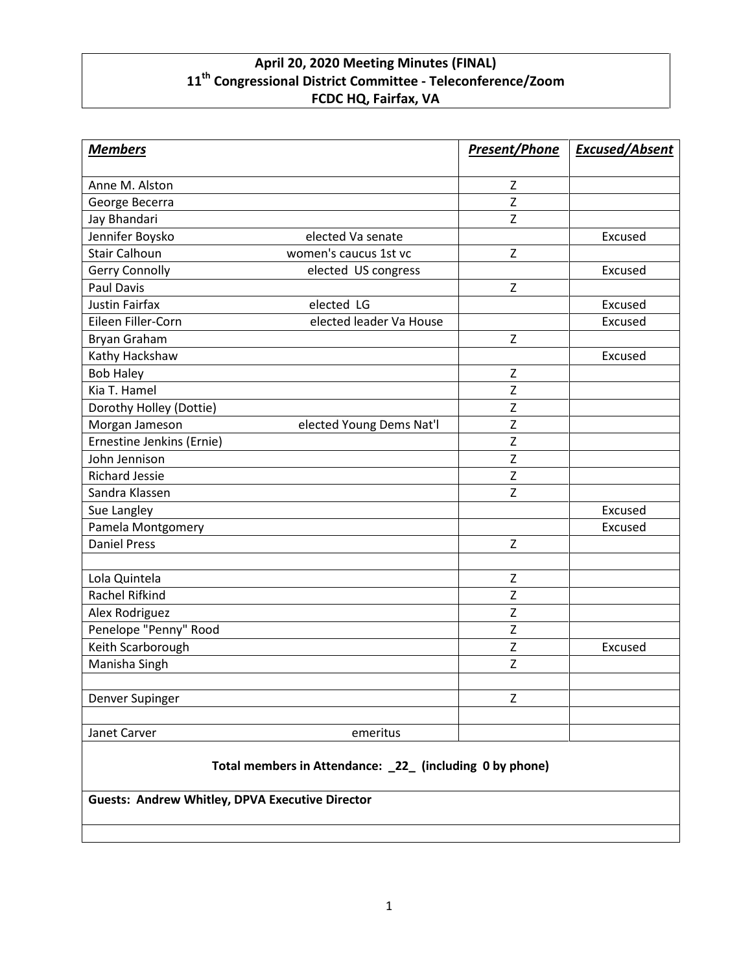## **April 20, 2020 Meeting Minutes (FINAL) 11th Congressional District Committee - Teleconference/Zoom FCDC HQ, Fairfax, VA**

| <b>Members</b>            |                          | <b>Present/Phone</b> | <b>Excused/Absent</b> |
|---------------------------|--------------------------|----------------------|-----------------------|
| Anne M. Alston            |                          | z                    |                       |
| George Becerra            |                          | $\mathsf{Z}$         |                       |
| Jay Bhandari              |                          | Z                    |                       |
| Jennifer Boysko           | elected Va senate        |                      | Excused               |
| <b>Stair Calhoun</b>      | women's caucus 1st vc    | Z                    |                       |
| Gerry Connolly            | elected US congress      |                      | Excused               |
| <b>Paul Davis</b>         |                          | $\mathsf Z$          |                       |
| <b>Justin Fairfax</b>     | elected LG               |                      | Excused               |
| Eileen Filler-Corn        | elected leader Va House  |                      | Excused               |
| <b>Bryan Graham</b>       |                          | Z                    |                       |
| Kathy Hackshaw            |                          |                      | Excused               |
| <b>Bob Haley</b>          |                          | $\mathsf{Z}$         |                       |
| Kia T. Hamel              |                          | $\mathsf{Z}$         |                       |
| Dorothy Holley (Dottie)   |                          | $\mathsf Z$          |                       |
| Morgan Jameson            | elected Young Dems Nat'l | $\mathsf Z$          |                       |
| Ernestine Jenkins (Ernie) |                          | $\mathsf{Z}$         |                       |
| John Jennison             |                          | Z                    |                       |
| <b>Richard Jessie</b>     |                          | Z                    |                       |
| Sandra Klassen            |                          | Z                    |                       |
| Sue Langley               |                          |                      | Excused               |
| Pamela Montgomery         |                          |                      | Excused               |
| <b>Daniel Press</b>       |                          | $\mathsf Z$          |                       |
|                           |                          |                      |                       |
| Lola Quintela             |                          | Z                    |                       |
| Rachel Rifkind            |                          | $\overline{z}$       |                       |
| Alex Rodriguez            |                          | $\mathsf Z$          |                       |
| Penelope "Penny" Rood     |                          | Z                    |                       |
| Keith Scarborough         |                          | $\mathsf Z$          | Excused               |
| Manisha Singh             |                          | Z                    |                       |
| Denver Supinger           |                          | Z                    |                       |
| Janet Carver              | emeritus                 |                      |                       |

## **Total members in Attendance: \_22\_ (including 0 by phone)**

**Guests: Andrew Whitley, DPVA Executive Director**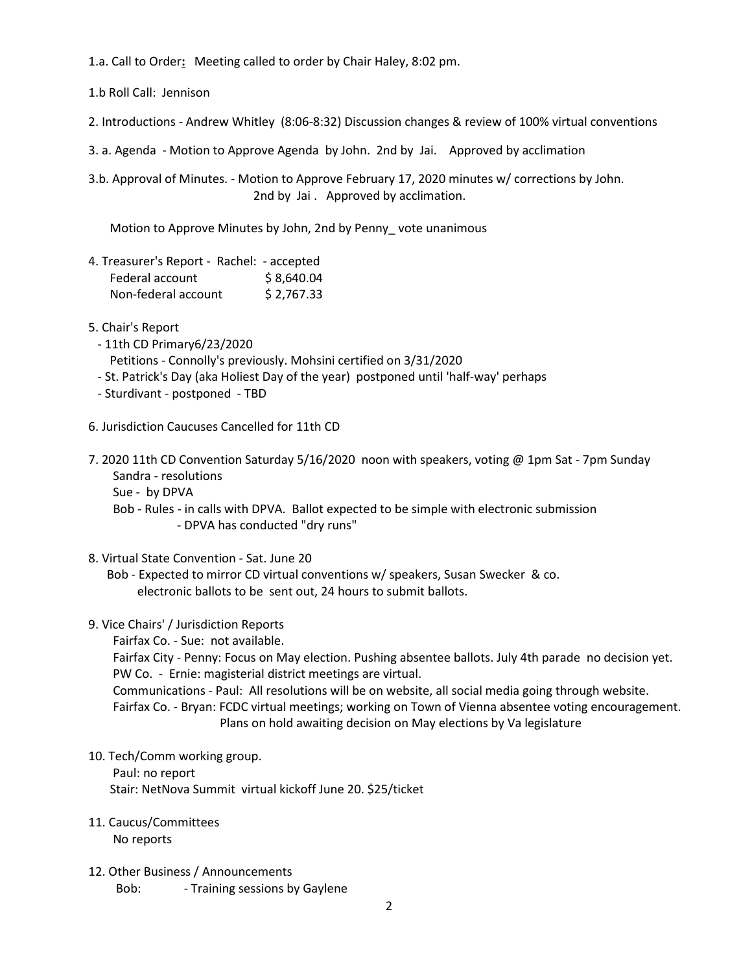1.a. Call to Order**:** Meeting called to order by Chair Haley, 8:02 pm.

1.b Roll Call: Jennison

2. Introductions - Andrew Whitley (8:06-8:32) Discussion changes & review of 100% virtual conventions

3. a. Agenda - Motion to Approve Agenda by John. 2nd by Jai. Approved by acclimation

3.b. Approval of Minutes. - Motion to Approve February 17, 2020 minutes w/ corrections by John. 2nd by Jai. Approved by acclimation.

Motion to Approve Minutes by John, 2nd by Penny\_ vote unanimous

- 4. Treasurer's Report Rachel: accepted Federal account \$8,640.04 Non-federal account \$ 2,767.33
- 5. Chair's Report
	- 11th CD Primary6/23/2020 Petitions - Connolly's previously. Mohsini certified on 3/31/2020
	- St. Patrick's Day (aka Holiest Day of the year) postponed until 'half-way' perhaps
	- Sturdivant postponed TBD
- 6. Jurisdiction Caucuses Cancelled for 11th CD
- 7. 2020 11th CD Convention Saturday 5/16/2020 noon with speakers, voting @ 1pm Sat 7pm Sunday Sandra - resolutions
	- Sue by DPVA

Bob - Rules - in calls with DPVA. Ballot expected to be simple with electronic submission - DPVA has conducted "dry runs"

8. Virtual State Convention - Sat. June 20

Bob - Expected to mirror CD virtual conventions w/ speakers, Susan Swecker & co. electronic ballots to be sent out, 24 hours to submit ballots.

9. Vice Chairs' / Jurisdiction Reports

Fairfax Co. - Sue: not available.

Fairfax City - Penny: Focus on May election. Pushing absentee ballots. July 4th parade no decision yet. PW Co. - Ernie: magisterial district meetings are virtual.

Communications - Paul: All resolutions will be on website, all social media going through website. Fairfax Co. - Bryan: FCDC virtual meetings; working on Town of Vienna absentee voting encouragement. Plans on hold awaiting decision on May elections by Va legislature

## 10. Tech/Comm working group.

Paul: no report Stair: NetNova Summit virtual kickoff June 20. \$25/ticket

## 11. Caucus/Committees

No reports

12. Other Business / Announcements Bob: Fraining sessions by Gaylene